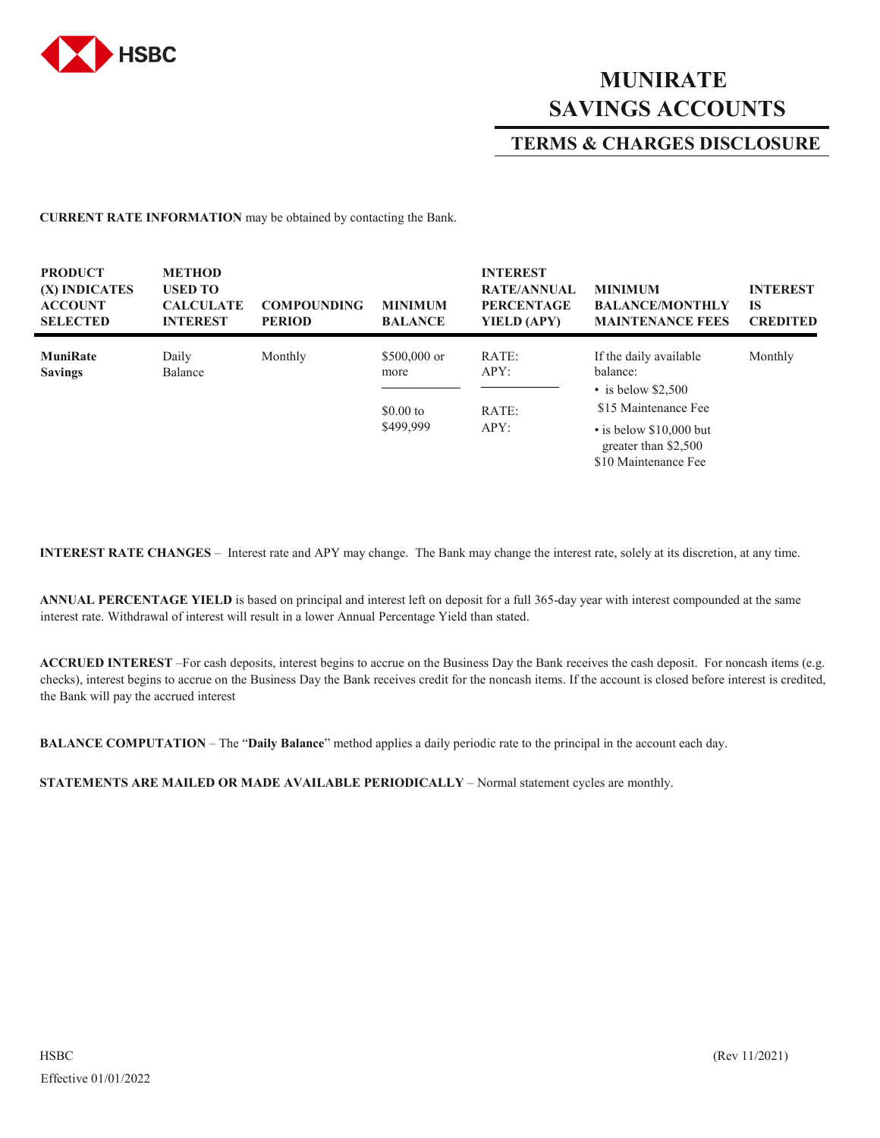

## **MUNIRATE SAVINGS ACCOUNTS**

## **TERMS & CHARGES DISCLOSURE**

**CURRENT RATE INFORMATION** may be obtained by contacting the Bank.

| <b>PRODUCT</b><br>(X) INDICATES<br><b>ACCOUNT</b><br><b>SELECTED</b> | <b>METHOD</b><br><b>USED TO</b><br><b>CALCULATE</b><br><b>INTEREST</b> | <b>COMPOUNDING</b><br><b>PERIOD</b> | <b>MINIMUM</b><br><b>BALANCE</b>                 | <b>INTEREST</b><br><b>RATE/ANNUAL</b><br><b>PERCENTAGE</b><br>YIELD (APY) | <b>MINIMUM</b><br><b>BALANCE/MONTHLY</b><br><b>MAINTENANCE FEES</b>                                                                                                     | <b>INTEREST</b><br><b>IS</b><br><b>CREDITED</b> |
|----------------------------------------------------------------------|------------------------------------------------------------------------|-------------------------------------|--------------------------------------------------|---------------------------------------------------------------------------|-------------------------------------------------------------------------------------------------------------------------------------------------------------------------|-------------------------------------------------|
| <b>MuniRate</b><br><b>Savings</b>                                    | Daily<br>Balance                                                       | Monthly                             | $$500,000$ or<br>more<br>$$0.00$ to<br>\$499,999 | RATE:<br>APY:<br>RATE:<br>APY:                                            | If the daily available<br>balance:<br>$\cdot$ is below \$2,500<br>\$15 Maintenance Fee<br>$\cdot$ is below \$10,000 but<br>greater than \$2,500<br>\$10 Maintenance Fee | Monthly                                         |

**INTEREST RATE CHANGES** – Interest rate and APY may change. The Bank may change the interest rate, solely at its discretion, at any time.

**ANNUAL PERCENTAGE YIELD** is based on principal and interest left on deposit for a full 365-day year with interest compounded at the same interest rate. Withdrawal of interest will result in a lower Annual Percentage Yield than stated.

**ACCRUED INTEREST** –For cash deposits, interest begins to accrue on the Business Day the Bank receives the cash deposit. For noncash items (e.g. checks), interest begins to accrue on the Business Day the Bank receives credit for the noncash items. If the account is closed before interest is credited, the Bank will pay the accrued interest

**BALANCE COMPUTATION** – The "**Daily Balance**" method applies a daily periodic rate to the principal in the account each day.

**STATEMENTS ARE MAILED OR MADE AVAILABLE PERIODICALLY** – Normal statement cycles are monthly.